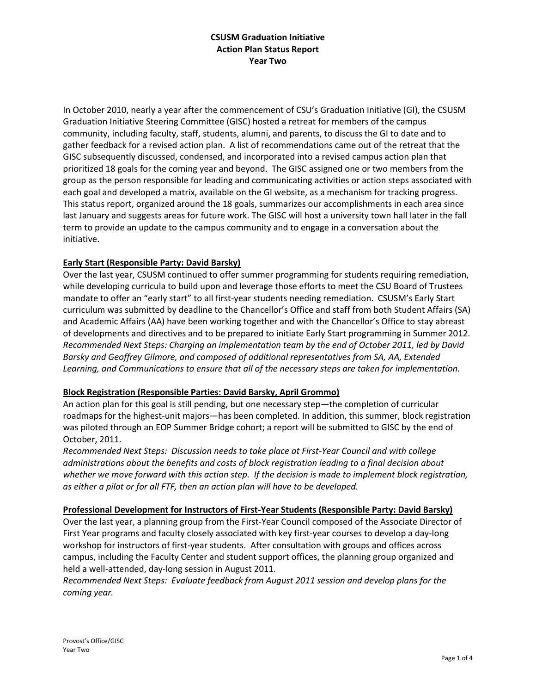## **CSUSM Graduation Initiative Action Plan Status Report Year Two**

In October 2010, nearly a year after the commencement of CSU's Graduation Initiative (GI), the CSUSM Graduation Initiative Steering Committee (GISC) hosted a retreat for members of the campus community, including faculty, staff, students, alumni, and parents, to discuss the GI to date and to gather feedback for a revised action plan. A list of recommendations came out of the retreat that the GISC subsequently discussed, condensed, and incorporated into a revised campus action plan that prioritized 18 goals for the coming year and beyond. The GISC assigned one or two members from the group as the person responsible for leading and communicating activities or action steps associated with each goal and developed a matrix, available on the GI website, as a mechanism for tracking progress. This status report, organized around the 18 goals, summarizes our accomplishments in each area since last January and suggests areas for future work. The GISC will host a university town hall later in the fall term to provide an update to the campus community and to engage in a conversation about the initiative.

# **Early Start (Responsible Party: David Barsky)**

Over the last year, CSUSM continued to offer summer programming for students requiring remediation, while developing curricula to build upon and leverage those efforts to meet the CSU Board of Trustees mandate to offer an "early start" to all first-year students needing remediation. CSUSM's Early Start curriculum was submitted by deadline to the Chancellor's Office and staff from both Student Affairs (SA) and Academic Affairs (AA) have been working together and with the Chancellor's Office to stay abreast of developments and directives and to be prepared to initiate Early Start programming in Summer 2012. *Recommended Next Steps: Charging an implementation team by the end of October 2011, led by David Barsky and Geoffrey Gilmore, and composed of additional representatives from SA, AA, Extended Learning, and Communications to ensure that all of the necessary steps are taken for implementation.*

### **Block Registration (Responsible Parties: David Barsky, April Grommo)**

An action plan for this goal is still pending, but one necessary step—the completion of curricular roadmaps for the highest-unit majors—has been completed. In addition, this summer, block registration was piloted through an EOP Summer Bridge cohort; a report will be submitted to GISC by the end of October, 2011.

*Recommended Next Steps: Discussion needs to take place at First-Year Council and with college administrations about the benefits and costs of block registration leading to a final decision about whether we move forward with this action step. If the decision is made to implement block registration, as either a pilot or for all FTF, then an action plan will have to be developed.*

### **Professional Development for Instructors of First-Year Students (Responsible Party: David Barsky)**

Over the last year, a planning group from the First-Year Council composed of the Associate Director of First Year programs and faculty closely associated with key first-year courses to develop a day-long workshop for instructors of first-year students. After consultation with groups and offices across campus, including the Faculty Center and student support offices, the planning group organized and held a well-attended, day-long session in August 2011.

*Recommended Next Steps: Evaluate feedback from August 2011 session and develop plans for the coming year.*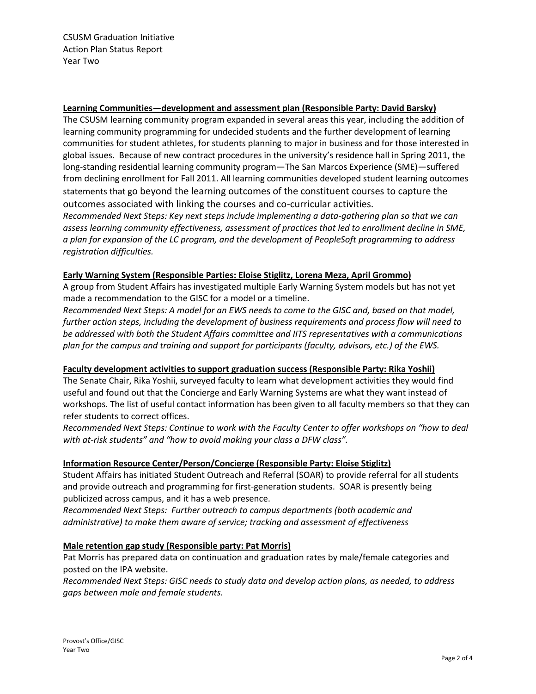### **Learning Communities—development and assessment plan (Responsible Party: David Barsky)**

The CSUSM learning community program expanded in several areas this year, including the addition of learning community programming for undecided students and the further development of learning communities for student athletes, for students planning to major in business and for those interested in global issues. Because of new contract procedures in the university's residence hall in Spring 2011, the long-standing residential learning community program—The San Marcos Experience (SME)—suffered from declining enrollment for Fall 2011. All learning communities developed student learning outcomes statements that go beyond the learning outcomes of the constituent courses to capture the outcomes associated with linking the courses and co-curricular activities.

*Recommended Next Steps: Key next steps include implementing a data-gathering plan so that we can assess learning community effectiveness, assessment of practices that led to enrollment decline in SME, a plan for expansion of the LC program, and the development of PeopleSoft programming to address registration difficulties.*

### **Early Warning System (Responsible Parties: Eloise Stiglitz, Lorena Meza, April Grommo)**

A group from Student Affairs has investigated multiple Early Warning System models but has not yet made a recommendation to the GISC for a model or a timeline.

*Recommended Next Steps: A model for an EWS needs to come to the GISC and, based on that model, further action steps, including the development of business requirements and process flow will need to be addressed with both the Student Affairs committee and IITS representatives with a communications plan for the campus and training and support for participants (faculty, advisors, etc.) of the EWS.*

### **Faculty development activities to support graduation success (Responsible Party: Rika Yoshii)**

The Senate Chair, Rika Yoshii, surveyed faculty to learn what development activities they would find useful and found out that the Concierge and Early Warning Systems are what they want instead of workshops. The list of useful contact information has been given to all faculty members so that they can refer students to correct offices.

*Recommended Next Steps: Continue to work with the Faculty Center to offer workshops on "how to deal with at-risk students" and "how to avoid making your class a DFW class".*

# **Information Resource Center/Person/Concierge (Responsible Party: Eloise Stiglitz)**

Student Affairs has initiated Student Outreach and Referral (SOAR) to provide referral for all students and provide outreach and programming for first-generation students. SOAR is presently being publicized across campus, and it has a web presence.

*Recommended Next Steps: Further outreach to campus departments (both academic and administrative) to make them aware of service; tracking and assessment of effectiveness*

### **Male retention gap study (Responsible party: Pat Morris)**

Pat Morris has prepared data on continuation and graduation rates by male/female categories and posted on the IPA website.

*Recommended Next Steps: GISC needs to study data and develop action plans, as needed, to address gaps between male and female students.*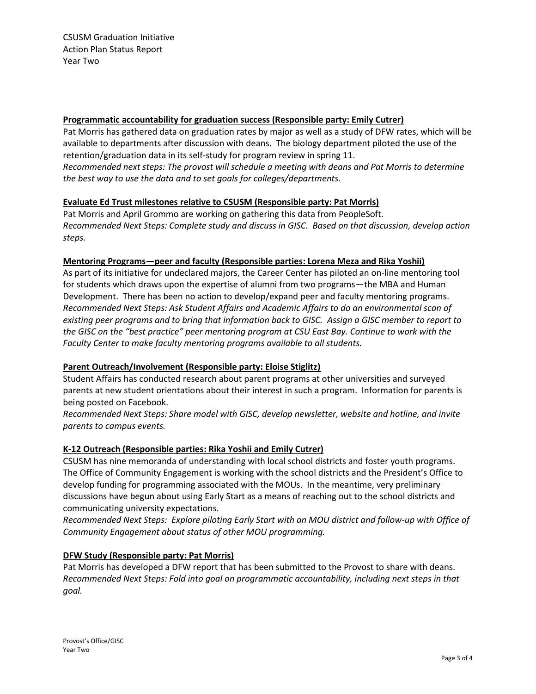#### **Programmatic accountability for graduation success (Responsible party: Emily Cutrer)**

Pat Morris has gathered data on graduation rates by major as well as a study of DFW rates, which will be available to departments after discussion with deans. The biology department piloted the use of the retention/graduation data in its self-study for program review in spring 11. *Recommended next steps: The provost will schedule a meeting with deans and Pat Morris to determine the best way to use the data and to set goals for colleges/departments.*

### **Evaluate Ed Trust milestones relative to CSUSM (Responsible party: Pat Morris)**

Pat Morris and April Grommo are working on gathering this data from PeopleSoft. *Recommended Next Steps: Complete study and discuss in GISC. Based on that discussion, develop action steps.*

#### **Mentoring Programs—peer and faculty (Responsible parties: Lorena Meza and Rika Yoshii)**

As part of its initiative for undeclared majors, the Career Center has piloted an on-line mentoring tool for students which draws upon the expertise of alumni from two programs—the MBA and Human Development. There has been no action to develop/expand peer and faculty mentoring programs. *Recommended Next Steps: Ask Student Affairs and Academic Affairs to do an environmental scan of existing peer programs and to bring that information back to GISC. Assign a GISC member to report to the GISC on the "best practice" peer mentoring program at CSU East Bay. Continue to work with the Faculty Center to make faculty mentoring programs available to all students.*

### **Parent Outreach/Involvement (Responsible party: Eloise Stiglitz)**

Student Affairs has conducted research about parent programs at other universities and surveyed parents at new student orientations about their interest in such a program. Information for parents is being posted on Facebook.

*Recommended Next Steps: Share model with GISC, develop newsletter, website and hotline, and invite parents to campus events.*

### **K-12 Outreach (Responsible parties: Rika Yoshii and Emily Cutrer)**

CSUSM has nine memoranda of understanding with local school districts and foster youth programs. The Office of Community Engagement is working with the school districts and the President's Office to develop funding for programming associated with the MOUs. In the meantime, very preliminary discussions have begun about using Early Start as a means of reaching out to the school districts and communicating university expectations.

*Recommended Next Steps: Explore piloting Early Start with an MOU district and follow-up with Office of Community Engagement about status of other MOU programming.*

### **DFW Study (Responsible party: Pat Morris)**

Pat Morris has developed a DFW report that has been submitted to the Provost to share with deans. *Recommended Next Steps: Fold into goal on programmatic accountability, including next steps in that goal.*